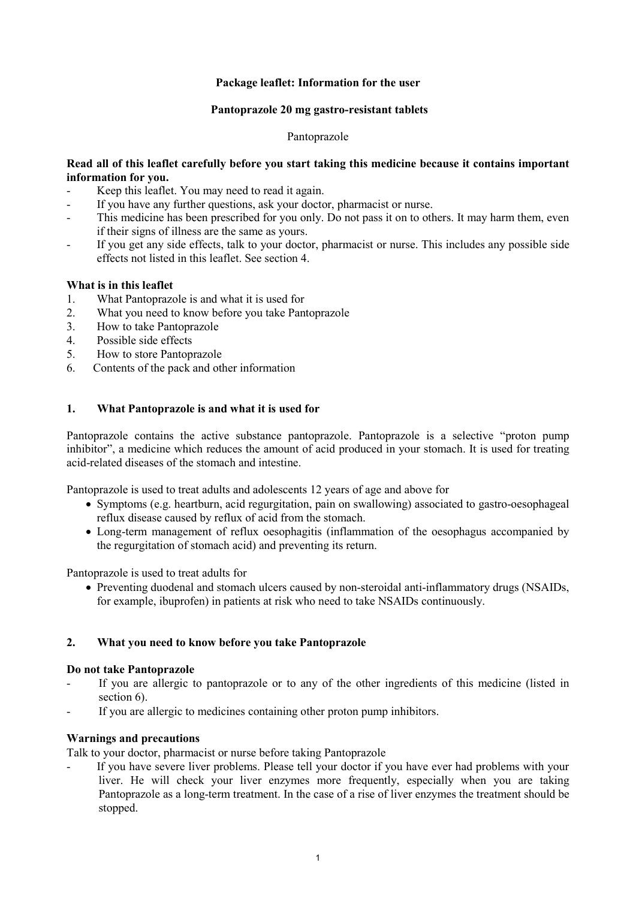### **Package leaflet: Information for the user**

#### **Pantoprazole 20 mg gastro-resistant tablets**

#### Pantoprazole

## **Read all of this leaflet carefully before you start taking this medicine because it contains important information for you.**

- Keep this leaflet. You may need to read it again.
- If you have any further questions, ask your doctor, pharmacist or nurse.
- This medicine has been prescribed for you only. Do not pass it on to others. It may harm them, even if their signs of illness are the same as yours.
- If you get any side effects, talk to your doctor, pharmacist or nurse. This includes any possible side effects not listed in this leaflet. See section 4.

### **What is in this leaflet**

- 1. What Pantoprazole is and what it is used for
- 2. What you need to know before you take Pantoprazole
- 3. How to take Pantoprazole<br>4 Possible side effects
- Possible side effects
- 5. How to store Pantoprazole
- 6. Contents of the pack and other information

## **1. What Pantoprazole is and what it is used for**

Pantoprazole contains the active substance pantoprazole. Pantoprazole is a selective "proton pump inhibitor", a medicine which reduces the amount of acid produced in your stomach. It is used for treating acid-related diseases of the stomach and intestine.

Pantoprazole is used to treat adults and adolescents 12 years of age and above for

- Symptoms (e.g. heartburn, acid regurgitation, pain on swallowing) associated to gastro-oesophageal reflux disease caused by reflux of acid from the stomach.
- Long-term management of reflux oesophagitis (inflammation of the oesophagus accompanied by the regurgitation of stomach acid) and preventing its return.

Pantoprazole is used to treat adults for

• Preventing duodenal and stomach ulcers caused by non-steroidal anti-inflammatory drugs (NSAIDs, for example, ibuprofen) in patients at risk who need to take NSAIDs continuously.

### **2. What you need to know before you take Pantoprazole**

### **Do not take Pantoprazole**

- If you are allergic to pantoprazole or to any of the other ingredients of this medicine (listed in section 6).
- If you are allergic to medicines containing other proton pump inhibitors.

### **Warnings and precautions**

Talk to your doctor, pharmacist or nurse before taking Pantoprazole

If you have severe liver problems. Please tell your doctor if you have ever had problems with your liver. He will check your liver enzymes more frequently, especially when you are taking Pantoprazole as a long-term treatment. In the case of a rise of liver enzymes the treatment should be stopped.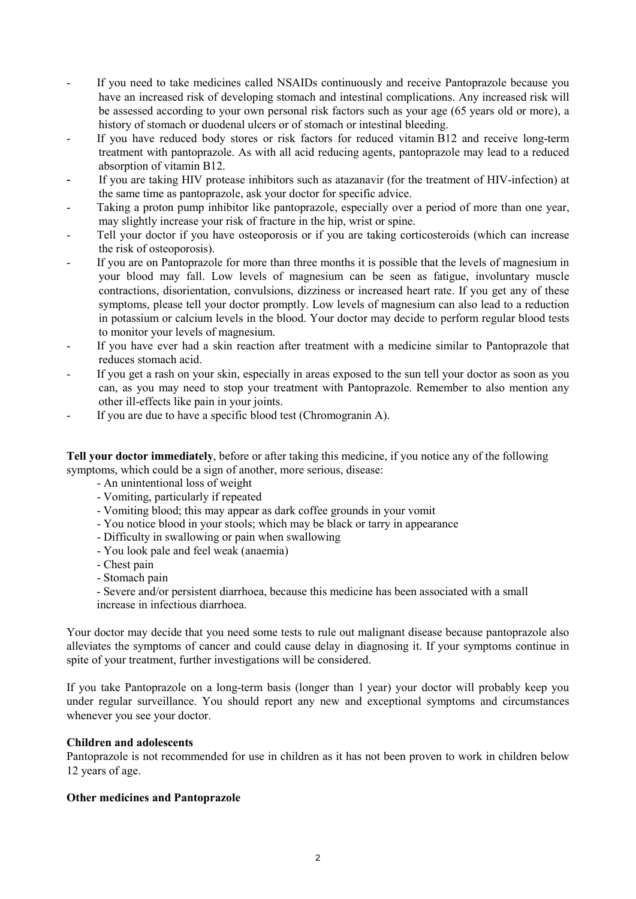- If you need to take medicines called NSAIDs continuously and receive Pantoprazole because you have an increased risk of developing stomach and intestinal complications. Any increased risk will be assessed according to your own personal risk factors such as your age (65 years old or more), a history of stomach or duodenal ulcers or of stomach or intestinal bleeding.
- If you have reduced body stores or risk factors for reduced vitamin B12 and receive long-term treatment with pantoprazole. As with all acid reducing agents, pantoprazole may lead to a reduced absorption of vitamin B12.
- If you are taking HIV protease inhibitors such as atazanavir (for the treatment of HIV-infection) at the same time as pantoprazole, ask your doctor for specific advice.
- Taking a proton pump inhibitor like pantoprazole, especially over a period of more than one year, may slightly increase your risk of fracture in the hip, wrist or spine.
- Tell your doctor if you have osteoporosis or if you are taking corticosteroids (which can increase the risk of osteoporosis).
- If you are on Pantoprazole for more than three months it is possible that the levels of magnesium in your blood may fall. Low levels of magnesium can be seen as fatigue, involuntary muscle contractions, disorientation, convulsions, dizziness or increased heart rate. If you get any of these symptoms, please tell your doctor promptly. Low levels of magnesium can also lead to a reduction in potassium or calcium levels in the blood. Your doctor may decide to perform regular blood tests to monitor your levels of magnesium.
- If you have ever had a skin reaction after treatment with a medicine similar to Pantoprazole that reduces stomach acid.
- If you get a rash on your skin, especially in areas exposed to the sun tell your doctor as soon as you can, as you may need to stop your treatment with Pantoprazole. Remember to also mention any other ill-effects like pain in your joints.
- If you are due to have a specific blood test (Chromogranin A).

**Tell your doctor immediately**, before or after taking this medicine, if you notice any of the following symptoms, which could be a sign of another, more serious, disease:

- An unintentional loss of weight
- Vomiting, particularly if repeated
- Vomiting blood; this may appear as dark coffee grounds in your vomit
- You notice blood in your stools; which may be black or tarry in appearance
- Difficulty in swallowing or pain when swallowing
- You look pale and feel weak (anaemia)
- Chest pain
- Stomach pain

- Severe and/or persistent diarrhoea, because this medicine has been associated with a small increase in infectious diarrhoea.

Your doctor may decide that you need some tests to rule out malignant disease because pantoprazole also alleviates the symptoms of cancer and could cause delay in diagnosing it. If your symptoms continue in spite of your treatment, further investigations will be considered.

If you take Pantoprazole on a long-term basis (longer than 1 year) your doctor will probably keep you under regular surveillance. You should report any new and exceptional symptoms and circumstances whenever you see your doctor.

### **Children and adolescents**

Pantoprazole is not recommended for use in children as it has not been proven to work in children below 12 years of age.

### **Other medicines and Pantoprazole**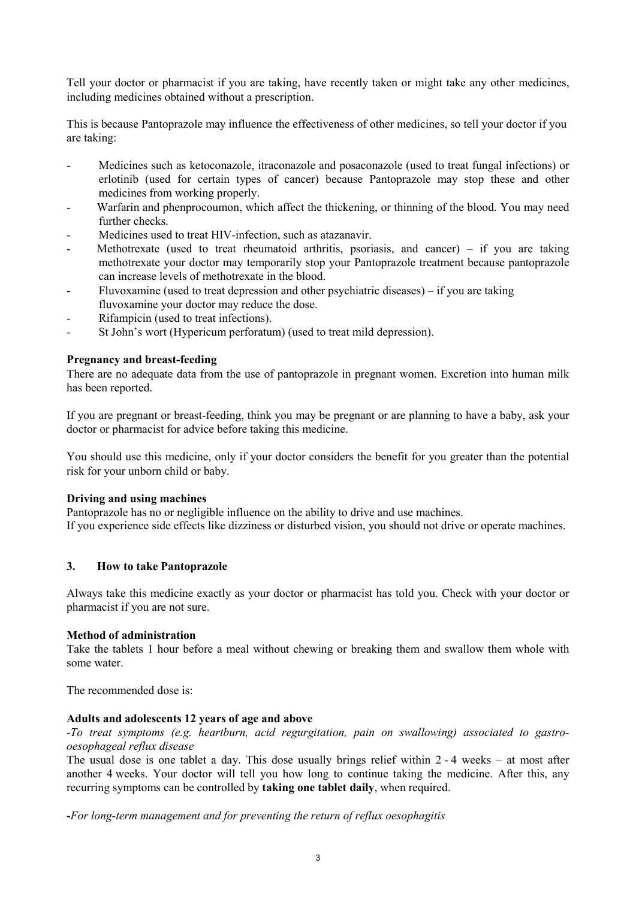Tell your doctor or pharmacist if you are taking, have recently taken or might take any other medicines, including medicines obtained without a prescription.

This is because Pantoprazole may influence the effectiveness of other medicines, so tell your doctor if you are taking:

- Medicines such as ketoconazole, itraconazole and posaconazole (used to treat fungal infections) or erlotinib (used for certain types of cancer) because Pantoprazole may stop these and other medicines from working properly.
- Warfarin and phenprocoumon, which affect the thickening, or thinning of the blood. You may need further checks.
- Medicines used to treat HIV-infection, such as atazanavir.
- Methotrexate (used to treat rheumatoid arthritis, psoriasis, and cancer) if you are taking methotrexate your doctor may temporarily stop your Pantoprazole treatment because pantoprazole can increase levels of methotrexate in the blood.
- Fluvoxamine (used to treat depression and other psychiatric diseases) if you are taking fluvoxamine your doctor may reduce the dose.
- Rifampicin (used to treat infections).
- St John's wort (Hypericum perforatum) (used to treat mild depression).

## **Pregnancy and breast-feeding**

There are no adequate data from the use of pantoprazole in pregnant women. Excretion into human milk has been reported.

If you are pregnant or breast-feeding, think you may be pregnant or are planning to have a baby, ask your doctor or pharmacist for advice before taking this medicine.

You should use this medicine, only if your doctor considers the benefit for you greater than the potential risk for your unborn child or baby.

### **Driving and using machines**

Pantoprazole has no or negligible influence on the ability to drive and use machines. If you experience side effects like dizziness or disturbed vision, you should not drive or operate machines.

### **3. How to take Pantoprazole**

Always take this medicine exactly as your doctor or pharmacist has told you. Check with your doctor or pharmacist if you are not sure.

### **Method of administration**

Take the tablets 1 hour before a meal without chewing or breaking them and swallow them whole with some water.

The recommended dose is:

### **Adults and adolescents 12 years of age and above**

-*To treat symptoms (e.g. heartburn, acid regurgitation, pain on swallowing) associated to gastrooesophageal reflux disease*

The usual dose is one tablet a day. This dose usually brings relief within 2 - 4 weeks – at most after another 4 weeks. Your doctor will tell you how long to continue taking the medicine. After this, any recurring symptoms can be controlled by **taking one tablet daily**, when required.

**-***For long-term management and for preventing the return of reflux oesophagitis*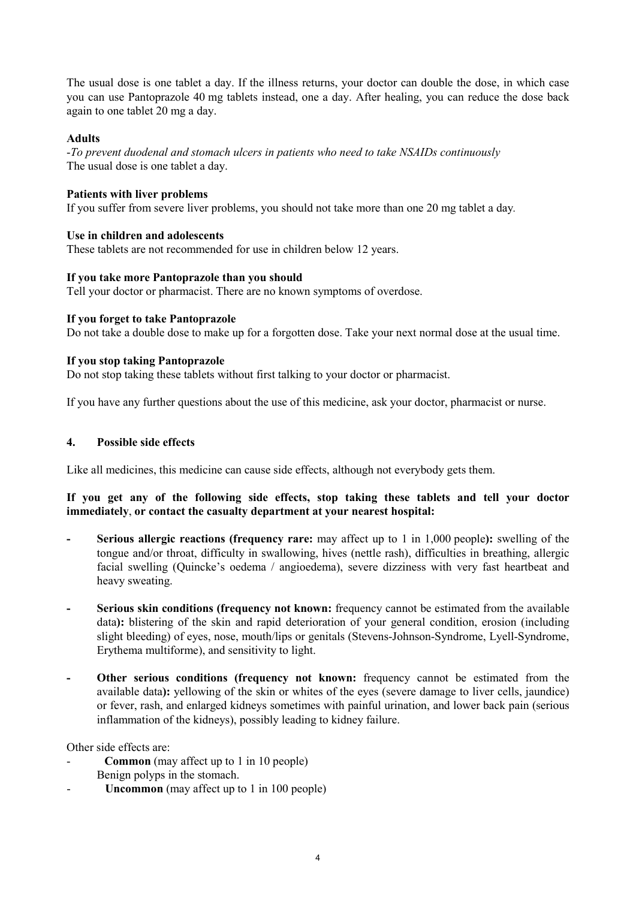The usual dose is one tablet a day. If the illness returns, your doctor can double the dose, in which case you can use Pantoprazole 40 mg tablets instead, one a day. After healing, you can reduce the dose back again to one tablet 20 mg a day.

## **Adults**

-*To prevent duodenal and stomach ulcers in patients who need to take NSAIDs continuously* The usual dose is one tablet a day.

## **Patients with liver problems**

If you suffer from severe liver problems, you should not take more than one 20 mg tablet a day*.* 

## **Use in children and adolescents**

These tablets are not recommended for use in children below 12 years.

## **If you take more Pantoprazole than you should**

Tell your doctor or pharmacist. There are no known symptoms of overdose.

## **If you forget to take Pantoprazole**

Do not take a double dose to make up for a forgotten dose. Take your next normal dose at the usual time.

## **If you stop taking Pantoprazole**

Do not stop taking these tablets without first talking to your doctor or pharmacist.

If you have any further questions about the use of this medicine, ask your doctor, pharmacist or nurse.

## **4. Possible side effects**

Like all medicines, this medicine can cause side effects, although not everybody gets them.

## **If you get any of the following side effects, stop taking these tablets and tell your doctor immediately**, **or contact the casualty department at your nearest hospital:**

- **- Serious allergic reactions (frequency rare:** may affect up to 1 in 1,000 people**):** swelling of the tongue and/or throat, difficulty in swallowing, hives (nettle rash), difficulties in breathing, allergic facial swelling (Quincke's oedema / angioedema), severe dizziness with very fast heartbeat and heavy sweating.
- **- Serious skin conditions (frequency not known:** frequency cannot be estimated from the available data**):** blistering of the skin and rapid deterioration of your general condition, erosion (including slight bleeding) of eyes, nose, mouth/lips or genitals (Stevens-Johnson-Syndrome, Lyell-Syndrome, Erythema multiforme), and sensitivity to light.
- **- Other serious conditions (frequency not known:** frequency cannot be estimated from the available data**):** yellowing of the skin or whites of the eyes (severe damage to liver cells, jaundice) or fever, rash, and enlarged kidneys sometimes with painful urination, and lower back pain (serious inflammation of the kidneys), possibly leading to kidney failure.

Other side effects are:

- **Common** (may affect up to 1 in 10 people) Benign polyps in the stomach.
- **Uncommon** (may affect up to 1 in 100 people)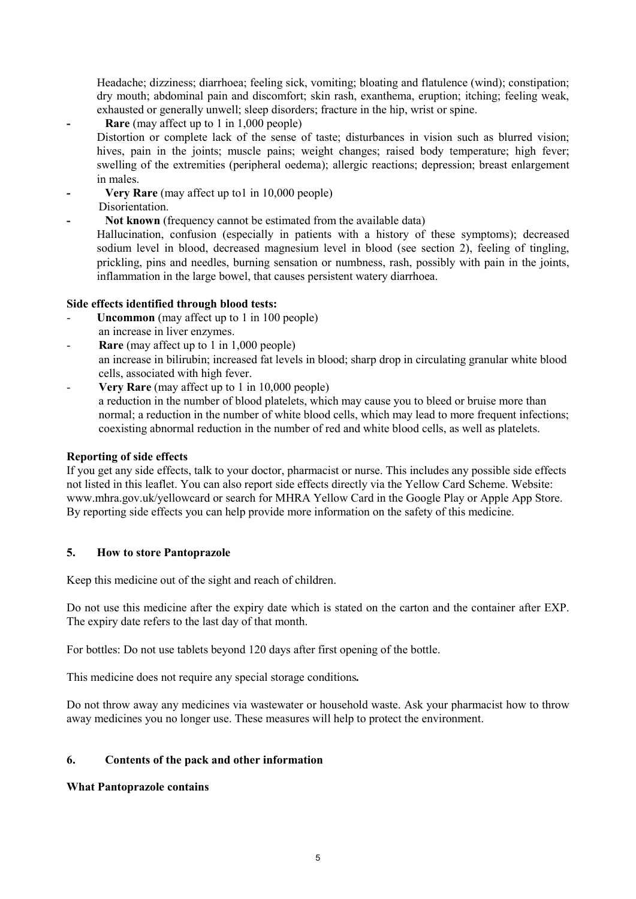Headache; dizziness; diarrhoea; feeling sick, vomiting; bloating and flatulence (wind); constipation; dry mouth; abdominal pain and discomfort; skin rash, exanthema, eruption; itching; feeling weak, exhausted or generally unwell; sleep disorders; fracture in the hip, wrist or spine.

**- Rare** (may affect up to 1 in 1,000 people)

Distortion or complete lack of the sense of taste; disturbances in vision such as blurred vision; hives, pain in the joints; muscle pains; weight changes; raised body temperature; high fever; swelling of the extremities (peripheral oedema); allergic reactions; depression; breast enlargement in males.

- **- Very Rare** (may affect up to1 in 10,000 people)
- Disorientation.
- **- Not known** (frequency cannot be estimated from the available data)

Hallucination, confusion (especially in patients with a history of these symptoms); decreased sodium level in blood, decreased magnesium level in blood (see section 2), feeling of tingling, prickling, pins and needles, burning sensation or numbness, rash, possibly with pain in the joints, inflammation in the large bowel, that causes persistent watery diarrhoea.

# **Side effects identified through blood tests:**

- **Uncommon** (may affect up to 1 in 100 people) an increase in liver enzymes.
- **Rare** (may affect up to 1 in 1,000 people) an increase in bilirubin; increased fat levels in blood; sharp drop in circulating granular white blood cells, associated with high fever.
- **Very Rare** (may affect up to 1 in 10,000 people) a reduction in the number of blood platelets, which may cause you to bleed or bruise more than normal; a reduction in the number of white blood cells, which may lead to more frequent infections; coexisting abnormal reduction in the number of red and white blood cells, as well as platelets.

## **Reporting of side effects**

If you get any side effects, talk to your doctor, pharmacist or nurse. This includes any possible side effects not listed in this leaflet. You can also report side effects directly via the Yellow Card Scheme. Website: www.mhra.gov.uk/yellowcard or search for MHRA Yellow Card in the Google Play or Apple App Store. By reporting side effects you can help provide more information on the safety of this medicine.

## **5. How to store Pantoprazole**

Keep this medicine out of the sight and reach of children.

Do not use this medicine after the expiry date which is stated on the carton and the container after EXP. The expiry date refers to the last day of that month.

For bottles: Do not use tablets beyond 120 days after first opening of the bottle.

This medicine does not require any special storage conditions*.*

Do not throw away any medicines via wastewater or household waste. Ask your pharmacist how to throw away medicines you no longer use. These measures will help to protect the environment.

# **6. Contents of the pack and other information**

## **What Pantoprazole contains**